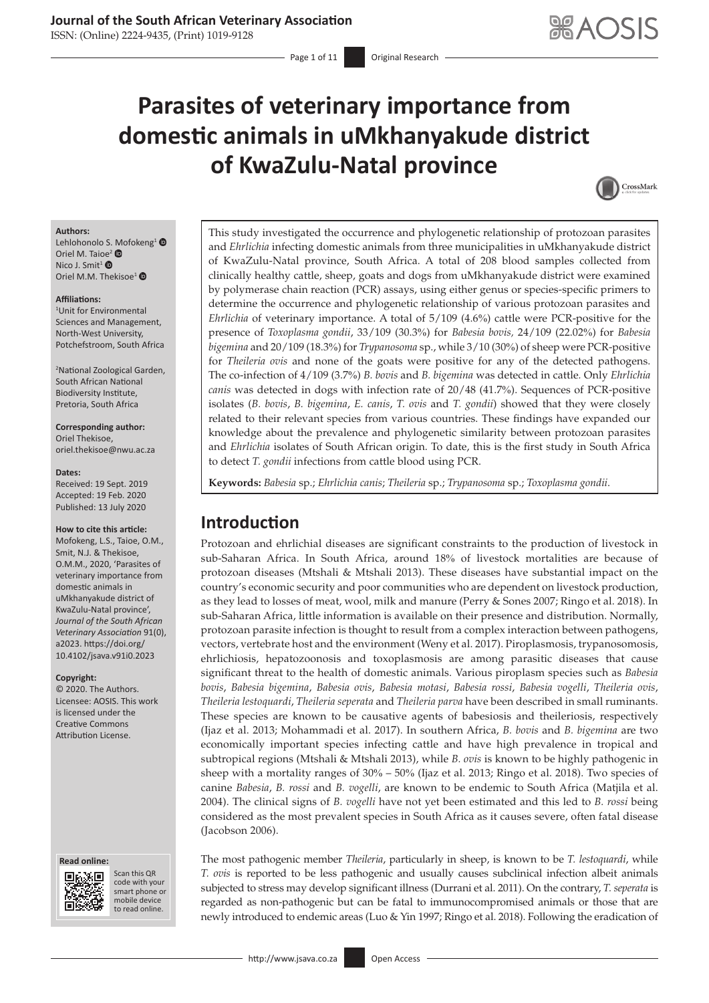ISSN: (Online) 2224-9435, (Print) 1019-9128

# **Parasites of veterinary importance from domestic animals in uMkhanyakude district of KwaZulu-Natal province**



#### **Authors:**

Lehlohonolo S. Mofokeng<sup>1</sup> <sup>®</sup> Oriel M. Tai[oe](https://orcid.org/0000-0001-7950-193X)<sup>[2](https://orcid.org/0000-0002-2905-4104)</sup> Nico J. Smit<sup>1</sup> $\bullet$ Oriel M.M. Thekisoe<sup>[1](https://orcid.org/0000-0003-0700-4787)</sup>

#### **Affiliations:**

1 Unit for Environmental Sciences and Management, North-West University, Potchefstroom, South Africa

2 National Zoological Garden, South African National Biodiversity Institute, Pretoria, South Africa

**Corresponding author:** Oriel Thekisoe, [oriel.thekisoe@nwu.ac.za](mailto:oriel.thekisoe@nwu.ac.za)

#### **Dates:**

Received: 19 Sept. 2019 Accepted: 19 Feb. 2020 Published: 13 July 2020

#### **How to cite this article:**

Mofokeng, L.S., Taioe, O.M., Smit, N.J. & Thekisoe, O.M.M., 2020, 'Parasites of veterinary importance from domestic animals in uMkhanyakude district of KwaZulu-Natal province', *Journal of the South African Veterinary Association* 91(0), a2023. [https://doi.org/](https://doi.org/10.4102/jsava.v91i0.2023) [10.4102/jsava.v91i0.2023](https://doi.org/10.4102/jsava.v91i0.2023)

#### **Copyright:**

© 2020. The Authors. Licensee: AOSIS. This work is licensed under the Creative Commons Attribution License.

#### **Read online: Read online:**



Scan this QR code with your Scan this QR<br>code with your<br>smart phone or<br>mobile device mobile device to read online. to read online.

This study investigated the occurrence and phylogenetic relationship of protozoan parasites and *Ehrlichia* infecting domestic animals from three municipalities in uMkhanyakude district of KwaZulu-Natal province, South Africa. A total of 208 blood samples collected from clinically healthy cattle, sheep, goats and dogs from uMkhanyakude district were examined by polymerase chain reaction (PCR) assays, using either genus or species-specific primers to determine the occurrence and phylogenetic relationship of various protozoan parasites and *Ehrlichia* of veterinary importance. A total of 5/109 (4.6%) cattle were PCR-positive for the presence of *Toxoplasma gondii*, 33/109 (30.3%) for *Babesia bovis,* 24/109 (22.02%) for *Babesia bigemina* and 20/109 (18.3%) for *Trypanosoma* sp., while 3/10 (30%) of sheep were PCR-positive for *Theileria ovis* and none of the goats were positive for any of the detected pathogens. The co-infection of 4/109 (3.7%) *B. bovis* and *B. bigemina* was detected in cattle*.* Only *Ehrlichia canis* was detected in dogs with infection rate of 20/48 (41.7%). Sequences of PCR-positive isolates (*B. bovis*, *B. bigemina*, *E. canis*, *T. ovis* and *T. gondii*) showed that they were closely related to their relevant species from various countries. These findings have expanded our knowledge about the prevalence and phylogenetic similarity between protozoan parasites and *Ehrlichia* isolates of South African origin. To date, this is the first study in South Africa to detect *T. gondii* infections from cattle blood using PCR.

**Keywords:** *Babesia* sp.; *Ehrlichia canis*; *Theileria* sp.; *Trypanosoma* sp.; *Toxoplasma gondii*.

# **Introduction**

Protozoan and ehrlichial diseases are significant constraints to the production of livestock in sub-Saharan Africa. In South Africa, around 18% of livestock mortalities are because of protozoan diseases (Mtshali & Mtshali 2013). These diseases have substantial impact on the country's economic security and poor communities who are dependent on livestock production, as they lead to losses of meat, wool, milk and manure (Perry & Sones 2007; Ringo et al. 2018). In sub-Saharan Africa, little information is available on their presence and distribution. Normally, protozoan parasite infection is thought to result from a complex interaction between pathogens, vectors, vertebrate host and the environment (Weny et al. 2017). Piroplasmosis, trypanosomosis, ehrlichiosis, hepatozoonosis and toxoplasmosis are among parasitic diseases that cause significant threat to the health of domestic animals. Various piroplasm species such as *Babesia bovis*, *Babesia bigemina*, *Babesia ovis*, *Babesia motasi*, *Babesia rossi*, *Babesia vogelli*, *Theileria ovis*, *Theileria lestoquardi*, *Theileria seperata* and *Theileria parva* have been described in small ruminants. These species are known to be causative agents of babesiosis and theileriosis, respectively (Ijaz et al. 2013; Mohammadi et al. 2017). In southern Africa, *B. bovis* and *B. bigemina* are two economically important species infecting cattle and have high prevalence in tropical and subtropical regions (Mtshali & Mtshali 2013), while *B. ovis* is known to be highly pathogenic in sheep with a mortality ranges of 30% – 50% (Ijaz et al. 2013; Ringo et al. 2018). Two species of canine *Babesia*, *B. rossi* and *B. vogelli*, are known to be endemic to South Africa (Matjila et al. 2004). The clinical signs of *B. vogelli* have not yet been estimated and this led to *B. rossi* being considered as the most prevalent species in South Africa as it causes severe, often fatal disease (Jacobson 2006).

The most pathogenic member *Theileria*, particularly in sheep, is known to be *T. lestoquardi*, while *T. ovis* is reported to be less pathogenic and usually causes subclinical infection albeit animals subjected to stress may develop significant illness (Durrani et al. 2011). On the contrary, *T. seperata* is regarded as non-pathogenic but can be fatal to immunocompromised animals or those that are newly introduced to endemic areas (Luo & Yin 1997; Ringo et al. 2018). Following the eradication of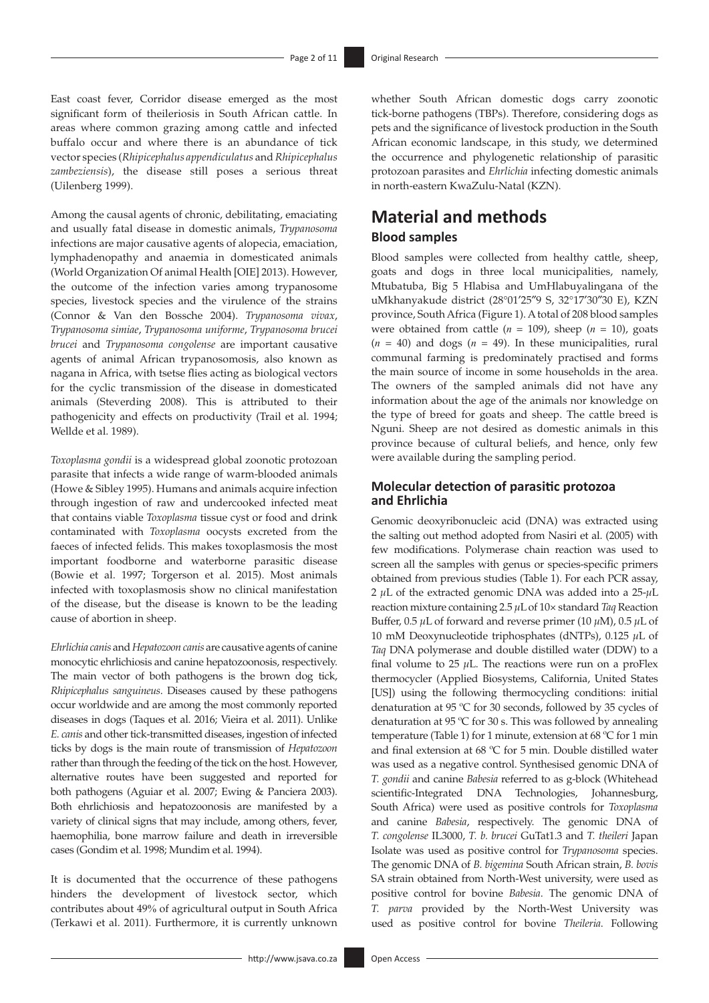East coast fever, Corridor disease emerged as the most significant form of theileriosis in South African cattle. In areas where common grazing among cattle and infected buffalo occur and where there is an abundance of tick vector species (*Rhipicephalus appendiculatus* and *Rhipicephalus zambeziensis*), the disease still poses a serious threat (Uilenberg 1999).

Among the causal agents of chronic, debilitating, emaciating and usually fatal disease in domestic animals, *Trypanosoma* infections are major causative agents of alopecia, emaciation, lymphadenopathy and anaemia in domesticated animals (World Organization Of animal Health [OIE] 2013). However, the outcome of the infection varies among trypanosome species, livestock species and the virulence of the strains (Connor & Van den Bossche 2004). *Trypanosoma vivax*, *Trypanosoma simiae*, *Trypanosoma uniforme*, *Trypanosoma brucei brucei* and *Trypanosoma congolense* are important causative agents of animal African trypanosomosis, also known as nagana in Africa, with tsetse flies acting as biological vectors for the cyclic transmission of the disease in domesticated animals (Steverding 2008). This is attributed to their pathogenicity and effects on productivity (Trail et al. 1994; Wellde et al. 1989).

*Toxoplasma gondii* is a widespread global zoonotic protozoan parasite that infects a wide range of warm-blooded animals (Howe & Sibley 1995). Humans and animals acquire infection through ingestion of raw and undercooked infected meat that contains viable *Toxoplasma* tissue cyst or food and drink contaminated with *Toxoplasma* oocysts excreted from the faeces of infected felids. This makes toxoplasmosis the most important foodborne and waterborne parasitic disease (Bowie et al. 1997; Torgerson et al. 2015). Most animals infected with toxoplasmosis show no clinical manifestation of the disease, but the disease is known to be the leading cause of abortion in sheep.

*Ehrlichia canis* and *Hepatozoon canis* are causative agents of canine monocytic ehrlichiosis and canine hepatozoonosis, respectively. The main vector of both pathogens is the brown dog tick, *Rhipicephalus sanguineus*. Diseases caused by these pathogens occur worldwide and are among the most commonly reported diseases in dogs (Taques et al. 2016; Vieira et al. 2011). Unlike *E. canis* and other tick-transmitted diseases, ingestion of infected ticks by dogs is the main route of transmission of *Hepatozoon* rather than through the feeding of the tick on the host. However, alternative routes have been suggested and reported for both pathogens (Aguiar et al. 2007; Ewing & Panciera 2003). Both ehrlichiosis and hepatozoonosis are manifested by a variety of clinical signs that may include, among others, fever, haemophilia, bone marrow failure and death in irreversible cases (Gondim et al. 1998; Mundim et al. 1994).

It is documented that the occurrence of these pathogens hinders the development of livestock sector, which contributes about 49% of agricultural output in South Africa (Terkawi et al. 2011). Furthermore, it is currently unknown

whether South African domestic dogs carry zoonotic tick-borne pathogens (TBPs). Therefore, considering dogs as pets and the significance of livestock production in the South African economic landscape, in this study, we determined the occurrence and phylogenetic relationship of parasitic protozoan parasites and *Ehrlichia* infecting domestic animals in north-eastern KwaZulu-Natal (KZN).

# **Material and methods Blood samples**

Blood samples were collected from healthy cattle, sheep, goats and dogs in three local municipalities, namely, Mtubatuba, Big 5 Hlabisa and UmHlabuyalingana of the uMkhanyakude district (28°01′25″9 S, 32°17′30″30 E), KZN province, South Africa (Figure 1). A total of 208 blood samples were obtained from cattle  $(n = 109)$ , sheep  $(n = 10)$ , goats  $(n = 40)$  and dogs  $(n = 49)$ . In these municipalities, rural communal farming is predominately practised and forms the main source of income in some households in the area. The owners of the sampled animals did not have any information about the age of the animals nor knowledge on the type of breed for goats and sheep. The cattle breed is Nguni. Sheep are not desired as domestic animals in this province because of cultural beliefs, and hence, only few were available during the sampling period.

### **Molecular detection of parasitic protozoa and Ehrlichia**

Genomic deoxyribonucleic acid (DNA) was extracted using the salting out method adopted from Nasiri et al. (2005) with few modifications. Polymerase chain reaction was used to screen all the samples with genus or species-specific primers obtained from previous studies (Table 1). For each PCR assay, 2 *µ*L of the extracted genomic DNA was added into a 25-*µ*L reaction mixture containing 2.5 *µ*L of 10× standard *Taq* Reaction Buffer,  $0.5 \mu L$  of forward and reverse primer (10  $\mu$ M),  $0.5 \mu L$  of 10 mM Deoxynucleotide triphosphates (dNTPs), 0.125 *µ*L of *Taq* DNA polymerase and double distilled water (DDW) to a final volume to  $25 \mu L$ . The reactions were run on a proFlex thermocycler (Applied Biosystems, California, United States [US]) using the following thermocycling conditions: initial denaturation at 95 ºC for 30 seconds, followed by 35 cycles of denaturation at 95 ºC for 30 s. This was followed by annealing temperature (Table 1) for 1 minute, extension at 68 ºC for 1 min and final extension at 68 ºC for 5 min. Double distilled water was used as a negative control. Synthesised genomic DNA of *T. gondii* and canine *Babesia* referred to as g-block (Whitehead scientific-Integrated DNA Technologies, Johannesburg, South Africa) were used as positive controls for *Toxoplasma* and canine *Babesia*, respectively. The genomic DNA of *T. congolense* IL3000, *T. b. brucei* GuTat1.3 and *T. theileri* Japan Isolate was used as positive control for *Trypanosoma* species. The genomic DNA of *B. bigemina* South African strain, *B. bovis* SA strain obtained from North-West university, were used as positive control for bovine *Babesia*. The genomic DNA of *T. parva* provided by the North-West University was used as positive control for bovine *Theileria*. Following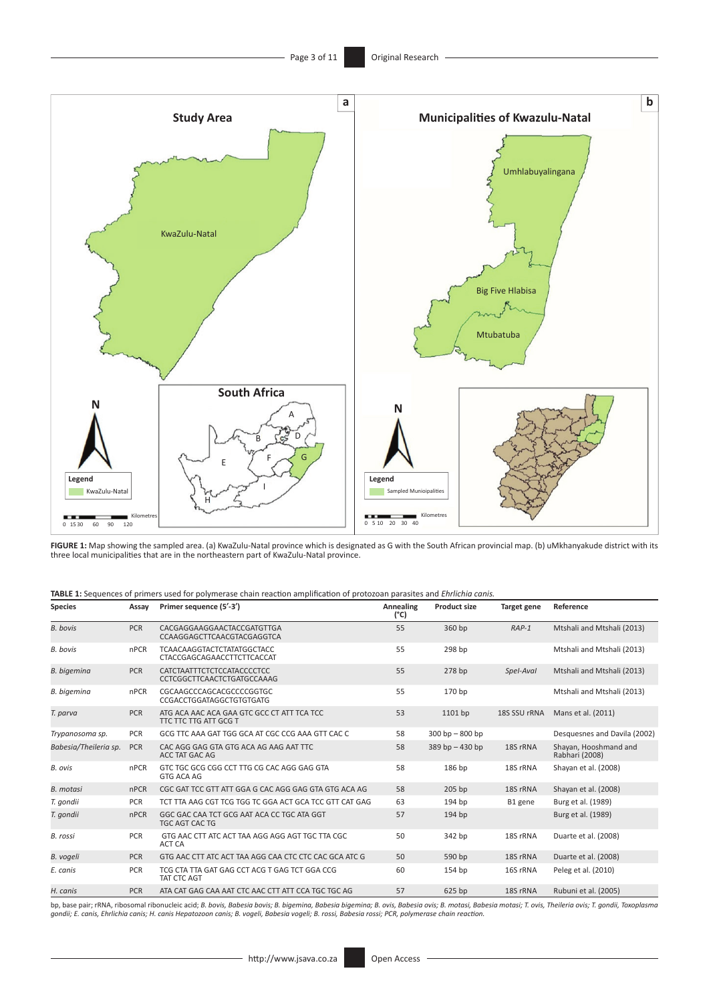

**FIGURE 1:** Map showing the sampled area. (a) KwaZulu-Natal province which is designated as G with the South African provincial map. (b) uMkhanyakude district with its three local municipalities that are in the northeastern part of KwaZulu-Natal province.

| <b>Species</b>        | Assay       | Primer sequence (5'-3')                                             | Annealing<br>(°C) | <b>Product size</b> | Target gene  | Reference                               |
|-----------------------|-------------|---------------------------------------------------------------------|-------------------|---------------------|--------------|-----------------------------------------|
| <b>B.</b> bovis       | <b>PCR</b>  | CACGAGGAAGGAACTACCGATGTTGA<br>CCAAGGAGCTTCAACGTACGAGGTCA            | 55                | 360 bp              | $RAP-1$      | Mtshali and Mtshali (2013)              |
| <b>B.</b> bovis       | <b>nPCR</b> | <b>TCAACAAGGTACTCTATATGGCTACC</b><br>CTACCGAGCAGAACCTTCTTCACCAT     | 55                | 298 bp              |              | Mtshali and Mtshali (2013)              |
| <b>B.</b> bigemina    | <b>PCR</b>  | <b>CATCTAATTTCTCTCCATACCCCTCC</b><br>CCTCGGCTTCAACTCTGATGCCAAAG     | 55                | 278 bp              | Spel-Aval    | Mtshali and Mtshali (2013)              |
| B. bigemina           | <b>nPCR</b> | CGCAAGCCCAGCACGCCCCGGTGC<br><b>CCGACCTGGATAGGCTGTGTGATG</b>         | 55                | 170 bp              |              | Mtshali and Mtshali (2013)              |
| T. parva              | <b>PCR</b>  | ATG ACA AAC ACA GAA GTC GCC CT ATT TCA TCC<br>TTC TTC TTG ATT GCG T | 53                | 1101 bp             | 18S SSU rRNA | Mans et al. (2011)                      |
| Trypanosoma sp.       | <b>PCR</b>  | GCG TTC AAA GAT TGG GCA AT CGC CCG AAA GTT CAC C                    | 58                | $300$ bp $-800$ bp  |              | Desquesnes and Davila (2002)            |
| Babesia/Theileria sp. | <b>PCR</b>  | CAC AGG GAG GTA GTG ACA AG AAG AAT TTC<br>ACC TAT GAC AG            | 58                | $389$ bp $-430$ bp  | 18S rRNA     | Shayan, Hooshmand and<br>Rabhari (2008) |
| B. ovis               | <b>nPCR</b> | GTC TGC GCG CGG CCT TTG CG CAC AGG GAG GTA<br><b>GTG ACA AG</b>     | 58                | 186 bp              | 18S rRNA     | Shayan et al. (2008)                    |
| B. motasi             | <b>nPCR</b> | CGC GAT TCC GTT ATT GGA G CAC AGG GAG GTA GTG ACA AG                | 58                | 205 bp              | 18S rRNA     | Shayan et al. (2008)                    |
| T. gondii             | <b>PCR</b>  | TCT TTA AAG CGT TCG TGG TC GGA ACT GCA TCC GTT CAT GAG              | 63                | 194 <sub>bp</sub>   | B1 gene      | Burg et al. (1989)                      |
| T. gondii             | <b>nPCR</b> | GGC GAC CAA TCT GCG AAT ACA CC TGC ATA GGT<br>TGC AGT CAC TG        | 57                | 194 bp              |              | Burg et al. (1989)                      |
| B. rossi              | <b>PCR</b>  | GTG AAC CTT ATC ACT TAA AGG AGG AGT TGC TTA CGC<br><b>ACT CA</b>    | 50                | 342 bp              | 18S rRNA     | Duarte et al. (2008)                    |
| B. vogeli             | <b>PCR</b>  | GTG AAC CTT ATC ACT TAA AGG CAA CTC CTC CAC GCA ATC G               | 50                | 590 bp              | 18S rRNA     | Duarte et al. (2008)                    |
| E. canis              | <b>PCR</b>  | TCG CTA TTA GAT GAG CCT ACG T GAG TCT GGA CCG<br><b>TAT CTC AGT</b> | 60                | 154 bp              | 16S rRNA     | Peleg et al. (2010)                     |
| H. canis              | <b>PCR</b>  | ATA CAT GAG CAA AAT CTC AAC CTT ATT CCA TGC TGC AG                  | 57                | 625 bp              | 18S rRNA     | Rubuni et al. (2005)                    |

bp, base pair; rRNA, ribosomal ribonucleic acid; B. bovis, Babesia bovis; B. bigemina, Babesia bovis, B. ovis, Babesia ovis; B. motasi, Babesia motasi; T. ovis, Theileria ovis; T. gondii, Toxoplasma<br>gondii; E. canis, Ehrli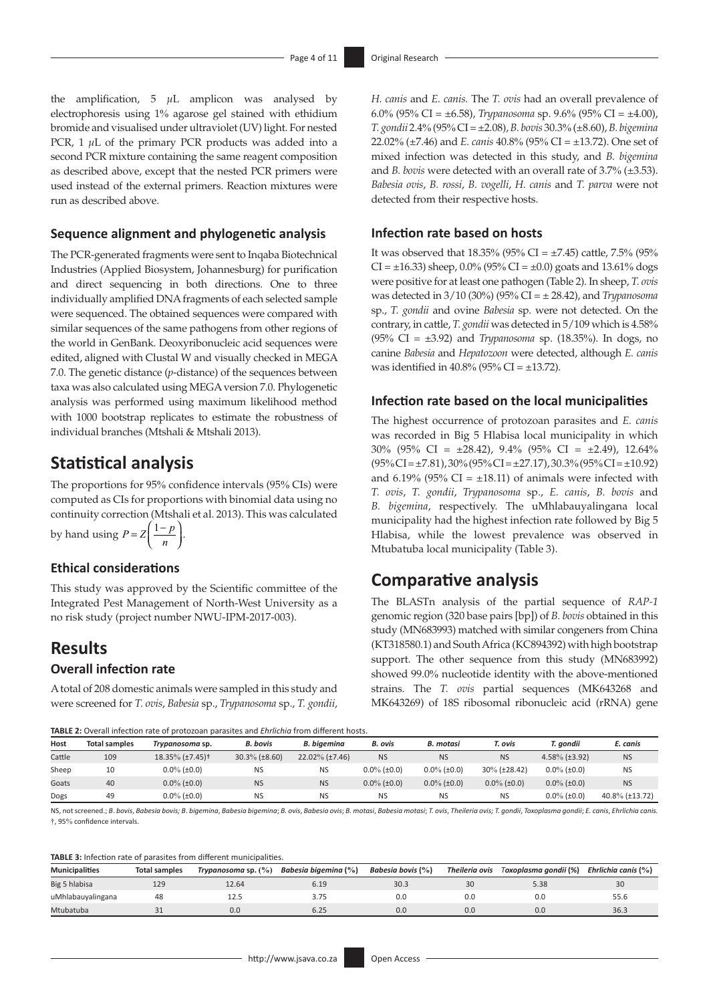the amplification,  $5 \mu L$  amplicon was analysed by electrophoresis using 1% agarose gel stained with ethidium bromide and visualised under ultraviolet (UV) light. For nested PCR, 1  $\mu$ L of the primary PCR products was added into a second PCR mixture containing the same reagent composition as described above, except that the nested PCR primers were used instead of the external primers. Reaction mixtures were run as described above.

### **Sequence alignment and phylogenetic analysis**

The PCR-generated fragments were sent to Inqaba Biotechnical Industries (Applied Biosystem, Johannesburg) for purification and direct sequencing in both directions. One to three individually amplified DNA fragments of each selected sample were sequenced. The obtained sequences were compared with similar sequences of the same pathogens from other regions of the world in GenBank. Deoxyribonucleic acid sequences were edited, aligned with Clustal W and visually checked in MEGA 7.0. The genetic distance (*p*-distance) of the sequences between taxa was also calculated using MEGA version 7.0. Phylogenetic analysis was performed using maximum likelihood method with 1000 bootstrap replicates to estimate the robustness of individual branches (Mtshali & Mtshali 2013).

# **Statistical analysis**

The proportions for 95% confidence intervals (95% CIs) were computed as CIs for proportions with binomial data using no continuity correction (Mtshali et al. 2013). This was calculated Ì  $P = Z\left(\frac{1-p}{n}\right).$ 

by hand using  $P = Z \left( \frac{1 - \mu}{n} \right)$ 

### **Ethical considerations**

This study was approved by the Scientific committee of the Integrated Pest Management of North-West University as a no risk study (project number NWU-IPM-2017-003).

### **Results Overall infection rate**

A total of 208 domestic animals were sampled in this study and were screened for *T. ovis*, *Babesia* sp., *Trypanosoma* sp., *T. gondii*, *H. canis* and *E. canis.* The *T. ovis* had an overall prevalence of 6.0% (95% CI = ±6.58), *Trypanosoma* sp. 9.6% (95% CI = ±4.00), *T. gondii* 2.4% (95% CI = ±2.08), *B. bovis* 30.3% (±8.60), *B. bigemina* 22.02% (±7.46) and *E. canis* 40.8% (95% CI = ±13.72). One set of mixed infection was detected in this study, and *B. bigemina* and *B. bovis* were detected with an overall rate of 3.7% (±3.53). *Babesia ovis*, *B. rossi*, *B. vogelli*, *H. canis* and *T. parva* were not detected from their respective hosts.

### **Infection rate based on hosts**

It was observed that 18.35% (95% CI =  $\pm$ 7.45) cattle, 7.5% (95%  $CI = \pm 16.33$ ) sheep, 0.0% (95%  $CI = \pm 0.0$ ) goats and 13.61% dogs were positive for at least one pathogen (Table 2). In sheep, *T. ovis* was detected in 3/10 (30%) (95% CI = ± 28.42), and *Trypanosoma* sp., *T. gondii* and ovine *Babesia* sp. were not detected. On the contrary, in cattle, *T. gondii* was detected in 5/109 which is 4.58% (95% CI = ±3.92) and *Trypanosoma* sp. (18.35%). In dogs, no canine *Babesia* and *Hepatozoon* were detected, although *E. canis* was identified in  $40.8\%$  (95% CI =  $\pm$ 13.72).

### **Infection rate based on the local municipalities**

The highest occurrence of protozoan parasites and *E. canis* was recorded in Big 5 Hlabisa local municipality in which 30% (95% CI = ±28.42), 9.4% (95% CI = ±2.49), 12.64%  $(95\% CI = \pm 7.81), 30\% (95\% CI = \pm 27.17), 30.3\% (95\% CI = \pm 10.92)$ and 6.19% (95% CI =  $\pm$ 18.11) of animals were infected with *T. ovis*, *T. gondii*, *Trypanosoma* sp., *E. canis*, *B. bovis* and *B. bigemina*, respectively. The uMhlabauyalingana local municipality had the highest infection rate followed by Big 5 Hlabisa, while the lowest prevalence was observed in Mtubatuba local municipality (Table 3).

### **Comparative analysis**

The BLASTn analysis of the partial sequence of *RAP-1* genomic region (320 base pairs [bp]) of *B. bovis* obtained in this study (MN683993) matched with similar congeners from China (KT318580.1) and South Africa (KC894392) with high bootstrap support. The other sequence from this study (MN683992) showed 99.0% nucleotide identity with the above-mentioned strains. The *T. ovis* partial sequences (MK643268 and MK643269) of 18S ribosomal ribonucleic acid (rRNA) gene

**TABLE 2:** Overall infection rate of protozoan parasites and *Ehrlichia* from different hosts.

| Host   | <b>Total samples</b> | Trypanosoma sp.                      | <b>B.</b> bovis         | <b>B.</b> biaemina | <b>B.</b> ovis        | <b>B.</b> motasi      | T. ovis                | ī. aondii             | E. canis                |
|--------|----------------------|--------------------------------------|-------------------------|--------------------|-----------------------|-----------------------|------------------------|-----------------------|-------------------------|
| Cattle | 109                  | $18.35\%$ ( $\pm$ 7.45) <sup>+</sup> | $30.3\%$ ( $\pm 8.60$ ) | $22.02\%$ (±7.46)  | <b>NS</b>             | <b>NS</b>             | <b>NS</b>              | $4.58\%$ (±3.92)      | <b>NS</b>               |
| Sheep  | 10                   | $0.0\%$ (±0.0)                       | <b>NS</b>               | <b>NS</b>          | $0.0\%$ ( $\pm 0.0$ ) | $0.0\%$ ( $\pm 0.0$ ) | $30\%$ ( $\pm 28.42$ ) | $0.0\%$ ( $\pm 0.0$ ) | <b>NS</b>               |
| Goats  | 40                   | $0.0\%$ (±0.0)                       | <b>NS</b>               | <b>NS</b>          | $0.0\%$ (±0.0)        | $0.0\%$ ( $\pm 0.0$ ) | $0.0\%$ ( $\pm 0.0$ )  | $0.0\%$ ( $\pm 0.0$ ) | <b>NS</b>               |
| Dogs   | 49                   | $0.0\%$ (±0.0)                       | <b>NS</b>               | <b>NS</b>          | <b>NS</b>             | <b>NS</b>             | <b>NS</b>              | $0.0\%$ ( $\pm 0.0$ ) | $40.8\%$ ( $\pm$ 13.72) |

NS not screened · B hovis Babesia hovis: B higeming Babesia higemina: B ovis Babesia ovis: B motasi Babesia motasi: T ovis Theileria ovis: T apadii Toxonlasma gondii: E canis Ebrlichia canis †, 95% confidence intervals.

**TABLE 3:** Infection rate of parasites from different municipalities.

| <b>Municipalities</b> | <b>Total samples</b> | Trypanosoma sp. $(\%)$ | Babesia bigemina (%) | Babesia bovis $\binom{0}{0}$ | <b>Theileria ovis</b> | Toxoplasma gondii (%) | Ehrlichia canis $(\% )$ |
|-----------------------|----------------------|------------------------|----------------------|------------------------------|-----------------------|-----------------------|-------------------------|
| Big 5 hlabisa         | 129                  | 12.64                  |                      | 30.3                         |                       | 5.38                  | 30                      |
| uMhlabauyalingana     | 48                   | 12.5                   |                      | 0.0                          | 0.0                   | 0.0                   | 55.6                    |
| Mtubatuba             |                      | 0.0                    | 6.25                 | 0.0                          | 0.0                   | 0.0                   | 36.3                    |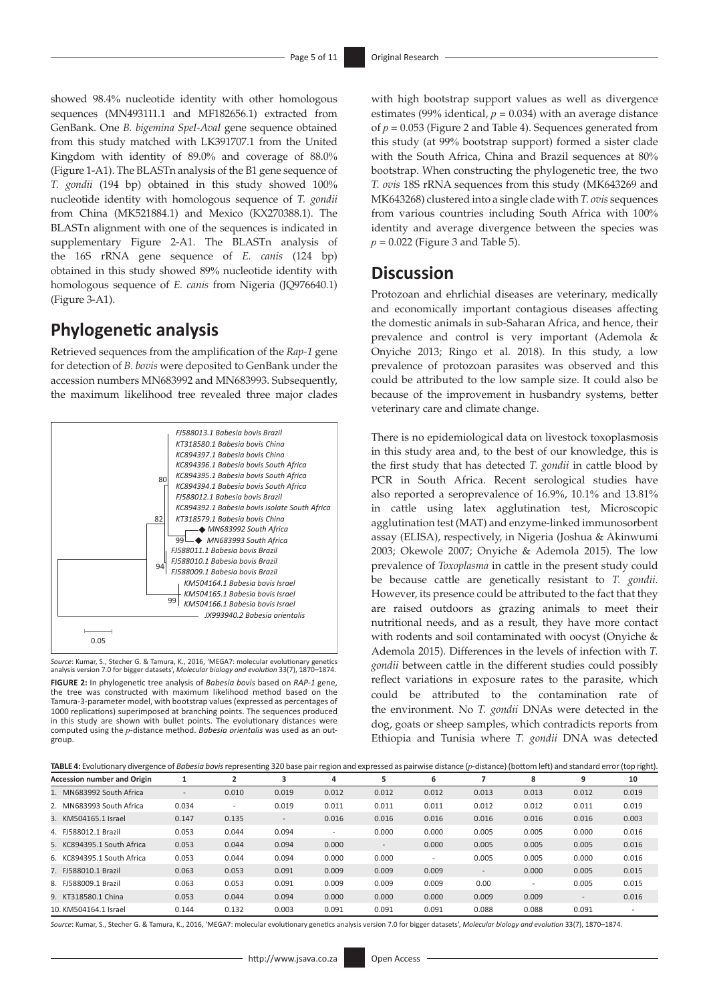showed 98.4% nucleotide identity with other homologous sequences (MN493111.1 and MF182656.1) extracted from GenBank. One *B. bigemina SpeI-AvaI* gene sequence obtained from this study matched with LK391707.1 from the United Kingdom with identity of 89.0% and coverage of 88.0% (Figure 1-A1). The BLASTn analysis of the B1 gene sequence of *T. gondii* (194 bp) obtained in this study showed 100% nucleotide identity with homologous sequence of *T. gondii* from China (MK521884.1) and Mexico (KX270388.1). The BLASTn alignment with one of the sequences is indicated in supplementary Figure 2-A1. The BLASTn analysis of the 16S rRNA gene sequence of *E. canis* (124 bp) obtained in this study showed 89% nucleotide identity with homologous sequence of *E. canis* from Nigeria (JQ976640.1) (Figure 3-A1).

# **Phylogenetic analysis**

Retrieved sequences from the amplification of the *Rap-1* gene for detection of *B. bovis* were deposited to GenBank under the accession numbers MN683992 and MN683993. Subsequently, the maximum likelihood tree revealed three major clades





**FIGURE 2:** In phylogenetic tree analysis of *Babesia bovis* based on *RAP-1* gene, the tree was constructed with maximum likelihood method based on the Tamura-3-parameter model, with bootstrap values (expressed as percentages of 1000 replications) superimposed at branching points. The sequences produced in this study are shown with bullet points. The evolutionary distances were computed using the *p*-distance method. *Babesia orientalis* was used as an outgroup.

with high bootstrap support values as well as divergence estimates (99% identical,  $p = 0.034$ ) with an average distance of *p* = 0.053 (Figure 2 and Table 4). Sequences generated from this study (at 99% bootstrap support) formed a sister clade with the South Africa, China and Brazil sequences at 80% bootstrap. When constructing the phylogenetic tree, the two *T. ovis* 18S rRNA sequences from this study (MK643269 and MK643268) clustered into a single clade with *T. ovis* sequences from various countries including South Africa with 100% identity and average divergence between the species was *p* = 0.022 (Figure 3 and Table 5).

### **Discussion**

Protozoan and ehrlichial diseases are veterinary, medically and economically important contagious diseases affecting the domestic animals in sub-Saharan Africa, and hence, their prevalence and control is very important (Ademola & Onyiche 2013; Ringo et al. 2018). In this study, a low prevalence of protozoan parasites was observed and this could be attributed to the low sample size. It could also be because of the improvement in husbandry systems, better veterinary care and climate change.

There is no epidemiological data on livestock toxoplasmosis in this study area and, to the best of our knowledge, this is the first study that has detected *T. gondii* in cattle blood by PCR in South Africa. Recent serological studies have also reported a seroprevalence of 16.9%, 10.1% and 13.81% in cattle using latex agglutination test, Microscopic agglutination test (MAT) and enzyme-linked immunosorbent assay (ELISA), respectively, in Nigeria (Joshua & Akinwumi 2003; Okewole 2007; Onyiche & Ademola 2015). The low prevalence of *Toxoplasma* in cattle in the present study could be because cattle are genetically resistant to *T. gondii.*  However, its presence could be attributed to the fact that they are raised outdoors as grazing animals to meet their nutritional needs, and as a result, they have more contact with rodents and soil contaminated with oocyst (Onyiche & Ademola 2015). Differences in the levels of infection with *T. gondii* between cattle in the different studies could possibly reflect variations in exposure rates to the parasite, which could be attributed to the contamination rate of the environment. No *T. gondii* DNAs were detected in the dog, goats or sheep samples, which contradicts reports from Ethiopia and Tunisia where *T. gondii* DNA was detected

|  | TABLE 4: Evolutionary divergence of Babesia bovis representing 320 base pair region and expressed as pairwise distance (p-distance) (bottom left) and standard error (top right). |
|--|-----------------------------------------------------------------------------------------------------------------------------------------------------------------------------------|
|  |                                                                                                                                                                                   |

| <b>Accession number and Origin</b> |                          |                          |       | 4     | э                        | 6                        |        | 8              | 9                        | 10    |
|------------------------------------|--------------------------|--------------------------|-------|-------|--------------------------|--------------------------|--------|----------------|--------------------------|-------|
| 1. MN683992 South Africa           | $\overline{\phantom{a}}$ | 0.010                    | 0.019 | 0.012 | 0.012                    | 0.012                    | 0.013  | 0.013          | 0.012                    | 0.019 |
| 2. MN683993 South Africa           | 0.034                    | $\overline{\phantom{a}}$ | 0.019 | 0.011 | 0.011                    | 0.011                    | 0.012  | 0.012          | 0.011                    | 0.019 |
| 3. KM504165.1 Israel               | 0.147                    | 0.135                    | ۰.    | 0.016 | 0.016                    | 0.016                    | 0.016  | 0.016          | 0.016                    | 0.003 |
| 4. EJ588012.1 Brazil               | 0.053                    | 0.044                    | 0.094 | -     | 0.000                    | 0.000                    | 0.005  | 0.005          | 0.000                    | 0.016 |
| 5. KC894395.1 South Africa         | 0.053                    | 0.044                    | 0.094 | 0.000 | $\overline{\phantom{a}}$ | 0.000                    | 0.005  | 0.005          | 0.005                    | 0.016 |
| 6. KC894395.1 South Africa         | 0.053                    | 0.044                    | 0.094 | 0.000 | 0.000                    | $\overline{\phantom{0}}$ | 0.005  | 0.005          | 0.000                    | 0.016 |
| 7. EJ588010.1 Brazil               | 0.063                    | 0.053                    | 0.091 | 0.009 | 0.009                    | 0.009                    | $\sim$ | 0.000          | 0.005                    | 0.015 |
| 8. EJ588009.1 Brazil               | 0.063                    | 0.053                    | 0.091 | 0.009 | 0.009                    | 0.009                    | 0.00   | $\blacksquare$ | 0.005                    | 0.015 |
| 9. KT318580.1 China                | 0.053                    | 0.044                    | 0.094 | 0.000 | 0.000                    | 0.000                    | 0.009  | 0.009          | $\overline{\phantom{a}}$ | 0.016 |
| 10. KM504164.1 Israel              | 0.144                    | 0.132                    | 0.003 | 0.091 | 0.091                    | 0.091                    | 0.088  | 0.088          | 0.091                    |       |

*Source*: Kumar, S., Stecher G. & Tamura, K., 2016, 'MEGA7: molecular evolutionary genetics analysis version 7.0 for bigger datasets', *Molecular biology and evolution* 33(7), 1870–1874.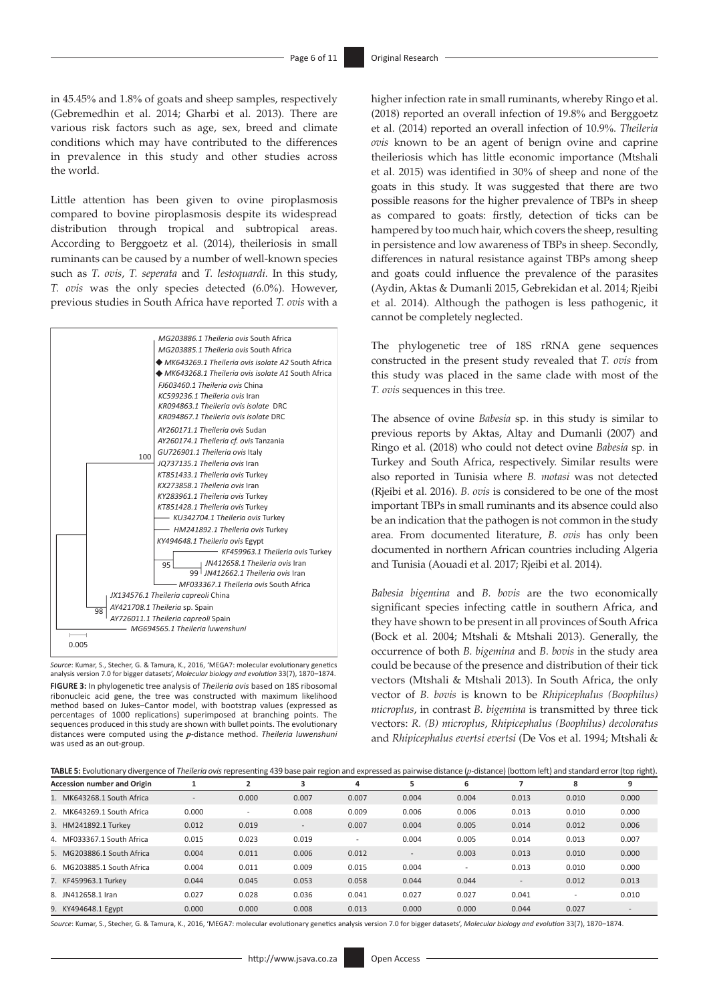in 45.45% and 1.8% of goats and sheep samples, respectively (Gebremedhin et al. 2014; Gharbi et al. 2013). There are various risk factors such as age, sex, breed and climate conditions which may have contributed to the differences in prevalence in this study and other studies across the world.

Little attention has been given to ovine piroplasmosis compared to bovine piroplasmosis despite its widespread distribution through tropical and subtropical areas. According to Berggoetz et al. (2014), theileriosis in small ruminants can be caused by a number of well-known species such as *T. ovis*, *T. seperata* and *T. lestoquardi.* In this study, *T. ovis* was the only species detected (6.0%). However, previous studies in South Africa have reported *T. ovis* with a



*Source*: Kumar, S., Stecher, G. & Tamura, K., 2016, 'MEGA7: molecular evolutionary genetics analysis version 7.0 for bigger datasets', *Molecular biology and evolution* 33(7), 1870–1874.

**FIGURE 3:** In phylogenetic tree analysis of *Theileria ovis* based on 18S ribosomal ribonucleic acid gene, the tree was constructed with maximum likelihood method based on Jukes–Cantor model, with bootstrap values (expressed as percentages of 1000 replications) superimposed at branching points. The sequences produced in this study are shown with bullet points. The evolutionary distances were computed using the *p*-distance method. *Theileria luwenshuni* was used as an out-group.

higher infection rate in small ruminants, whereby Ringo et al. (2018) reported an overall infection of 19.8% and Berggoetz et al. (2014) reported an overall infection of 10.9%. *Theileria ovis* known to be an agent of benign ovine and caprine theileriosis which has little economic importance (Mtshali et al. 2015) was identified in 30% of sheep and none of the goats in this study. It was suggested that there are two possible reasons for the higher prevalence of TBPs in sheep as compared to goats: firstly, detection of ticks can be hampered by too much hair, which covers the sheep, resulting in persistence and low awareness of TBPs in sheep. Secondly, differences in natural resistance against TBPs among sheep and goats could influence the prevalence of the parasites (Aydin, Aktas & Dumanli 2015, Gebrekidan et al. 2014; Rjeibi et al. 2014). Although the pathogen is less pathogenic, it cannot be completely neglected.

The phylogenetic tree of 18S rRNA gene sequences constructed in the present study revealed that *T. ovis* from this study was placed in the same clade with most of the *T. ovis* sequences in this tree.

The absence of ovine *Babesia* sp. in this study is similar to previous reports by Aktas, Altay and Dumanli (2007) and Ringo et al. (2018) who could not detect ovine *Babesia* sp*.* in Turkey and South Africa, respectively. Similar results were also reported in Tunisia where *B. motasi* was not detected (Rjeibi et al. 2016). *B. ovis* is considered to be one of the most important TBPs in small ruminants and its absence could also be an indication that the pathogen is not common in the study area. From documented literature, *B. ovis* has only been documented in northern African countries including Algeria and Tunisia (Aouadi et al. 2017; Rjeibi et al. 2014).

*Babesia bigemina* and *B. bovis* are the two economically significant species infecting cattle in southern Africa, and they have shown to be present in all provinces of South Africa (Bock et al. 2004; Mtshali & Mtshali 2013). Generally, the occurrence of both *B. bigemina* and *B. bovis* in the study area could be because of the presence and distribution of their tick vectors (Mtshali & Mtshali 2013). In South Africa, the only vector of *B. bovis* is known to be *Rhipicephalus (Boophilus) microplus*, in contrast *B. bigemina* is transmitted by three tick vectors: *R. (B) microplus*, *Rhipicephalus (Boophilus) decoloratus* and *Rhipicephalus evertsi evertsi* (De Vos et al. 1994; Mtshali &

| TABLE 5: Evolutionary divergence of Theileria ovis representing 439 base pair region and expressed as pairwise distance (p-distance) (bottom left) and standard error (top right). |  |  |
|------------------------------------------------------------------------------------------------------------------------------------------------------------------------------------|--|--|
|------------------------------------------------------------------------------------------------------------------------------------------------------------------------------------|--|--|

| <b>Accession number and Origin</b> |                          | 2      | з                        | 4     | 5                        | 6                        |                          | 8                        | 9                        |
|------------------------------------|--------------------------|--------|--------------------------|-------|--------------------------|--------------------------|--------------------------|--------------------------|--------------------------|
| 1. MK643268.1 South Africa         | $\overline{\phantom{0}}$ | 0.000  | 0.007                    | 0.007 | 0.004                    | 0.004                    | 0.013                    | 0.010                    | 0.000                    |
| 2. MK643269.1 South Africa         | 0.000                    | $\sim$ | 0.008                    | 0.009 | 0.006                    | 0.006                    | 0.013                    | 0.010                    | 0.000                    |
| 3. HM241892.1 Turkey               | 0.012                    | 0.019  | $\overline{\phantom{a}}$ | 0.007 | 0.004                    | 0.005                    | 0.014                    | 0.012                    | 0.006                    |
| 4. MF033367.1 South Africa         | 0.015                    | 0.023  | 0.019                    |       | 0.004                    | 0.005                    | 0.014                    | 0.013                    | 0.007                    |
| 5. MG203886.1 South Africa         | 0.004                    | 0.011  | 0.006                    | 0.012 | $\overline{\phantom{a}}$ | 0.003                    | 0.013                    | 0.010                    | 0.000                    |
| 6. MG203885.1 South Africa         | 0.004                    | 0.011  | 0.009                    | 0.015 | 0.004                    | $\overline{\phantom{0}}$ | 0.013                    | 0.010                    | 0.000                    |
| 7. KF459963.1 Turkey               | 0.044                    | 0.045  | 0.053                    | 0.058 | 0.044                    | 0.044                    | $\overline{\phantom{a}}$ | 0.012                    | 0.013                    |
| 8. JN412658.1 Iran                 | 0.027                    | 0.028  | 0.036                    | 0.041 | 0.027                    | 0.027                    | 0.041                    | $\overline{\phantom{a}}$ | 0.010                    |
| 9. KY494648.1 Egypt                | 0.000                    | 0.000  | 0.008                    | 0.013 | 0.000                    | 0.000                    | 0.044                    | 0.027                    | $\overline{\phantom{0}}$ |

*Source*: Kumar, S., Stecher, G. & Tamura, K., 2016, 'MEGA7: molecular evolutionary genetics analysis version 7.0 for bigger datasets', *Molecular biology and evolution* 33(7), 1870–1874.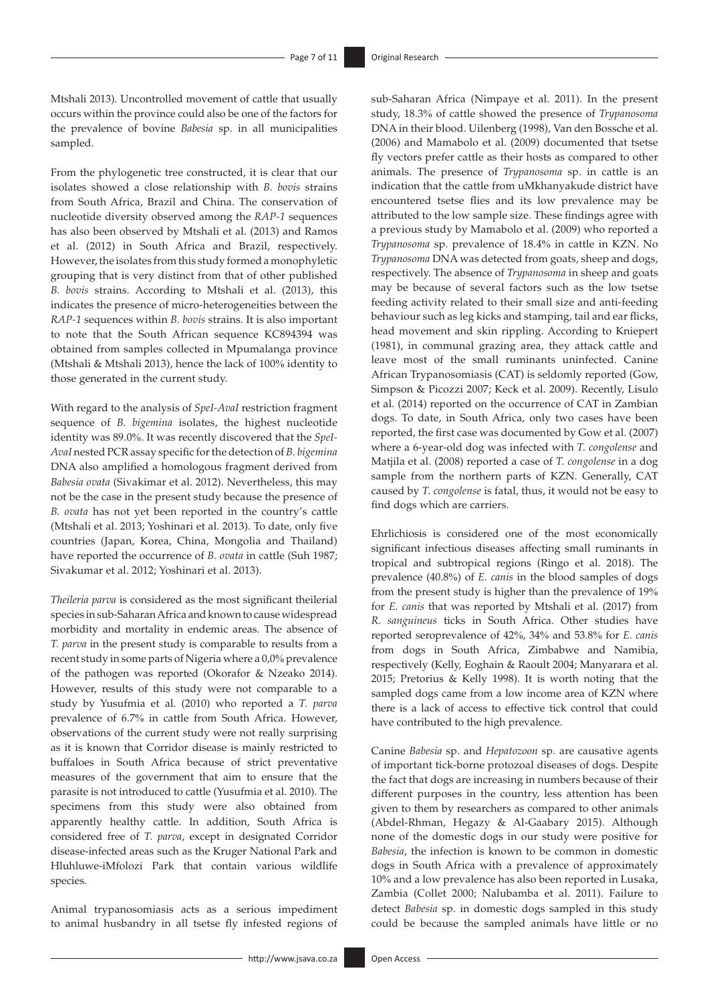Mtshali 2013). Uncontrolled movement of cattle that usually occurs within the province could also be one of the factors for the prevalence of bovine *Babesia* sp. in all municipalities sampled.

From the phylogenetic tree constructed, it is clear that our isolates showed a close relationship with *B. bovis* strains from South Africa, Brazil and China. The conservation of nucleotide diversity observed among the *RAP-1* sequences has also been observed by Mtshali et al. (2013) and Ramos et al. (2012) in South Africa and Brazil, respectively. However, the isolates from this study formed a monophyletic grouping that is very distinct from that of other published *B. bovis* strains. According to Mtshali et al. (2013), this indicates the presence of micro-heterogeneities between the *RAP-1* sequences within *B. bovis* strains. It is also important to note that the South African sequence KC894394 was obtained from samples collected in Mpumalanga province (Mtshali & Mtshali 2013), hence the lack of 100% identity to those generated in the current study.

With regard to the analysis of *SpeI-AvaI* restriction fragment sequence of *B. bigemina* isolates, the highest nucleotide identity was 89.0%. It was recently discovered that the *SpeI-AvaI* nested PCR assay specific for the detection of *B. bigemina* DNA also amplified a homologous fragment derived from *Babesia ovata* (Sivakimar et al. 2012). Nevertheless, this may not be the case in the present study because the presence of *B. ovata* has not yet been reported in the country's cattle (Mtshali et al. 2013; Yoshinari et al. 2013). To date, only five countries (Japan, Korea, China, Mongolia and Thailand) have reported the occurrence of *B. ovata* in cattle (Suh 1987; Sivakumar et al. 2012; Yoshinari et al. 2013).

*Theileria parva* is considered as the most significant theilerial species in sub-Saharan Africa and known to cause widespread morbidity and mortality in endemic areas. The absence of *T. parva* in the present study is comparable to results from a recent study in some parts of Nigeria where a 0,0% prevalence of the pathogen was reported (Okorafor & Nzeako 2014). However, results of this study were not comparable to a study by Yusufmia et al. (2010) who reported a *T. parva* prevalence of 6.7% in cattle from South Africa. However, observations of the current study were not really surprising as it is known that Corridor disease is mainly restricted to buffaloes in South Africa because of strict preventative measures of the government that aim to ensure that the parasite is not introduced to cattle (Yusufmia et al. 2010). The specimens from this study were also obtained from apparently healthy cattle. In addition, South Africa is considered free of *T. parva*, except in designated Corridor disease-infected areas such as the Kruger National Park and Hluhluwe-iMfolozi Park that contain various wildlife species.

Animal trypanosomiasis acts as a serious impediment to animal husbandry in all tsetse fly infested regions of sub-Saharan Africa (Nimpaye et al. 2011). In the present study, 18.3% of cattle showed the presence of *Trypanosoma* DNA in their blood. Uilenberg (1998), Van den Bossche et al. (2006) and Mamabolo et al. (2009) documented that tsetse fly vectors prefer cattle as their hosts as compared to other animals. The presence of *Trypanosoma* sp. in cattle is an indication that the cattle from uMkhanyakude district have encountered tsetse flies and its low prevalence may be attributed to the low sample size. These findings agree with a previous study by Mamabolo et al. (2009) who reported a *Trypanosoma* sp. prevalence of 18.4% in cattle in KZN. No *Trypanosoma* DNA was detected from goats, sheep and dogs, respectively. The absence of *Trypanosoma* in sheep and goats may be because of several factors such as the low tsetse feeding activity related to their small size and anti-feeding behaviour such as leg kicks and stamping, tail and ear flicks, head movement and skin rippling. According to Kniepert (1981), in communal grazing area, they attack cattle and leave most of the small ruminants uninfected. Canine African Trypanosomiasis (CAT) is seldomly reported (Gow, Simpson & Picozzi 2007; Keck et al. 2009). Recently, Lisulo et al. (2014) reported on the occurrence of CAT in Zambian dogs. To date, in South Africa, only two cases have been reported, the first case was documented by Gow et al. (2007) where a 6-year-old dog was infected with *T. congolense* and Matjila et al. (2008) reported a case of *T. congolense* in a dog sample from the northern parts of KZN. Generally, CAT caused by *T. congolense* is fatal, thus, it would not be easy to find dogs which are carriers.

Ehrlichiosis is considered one of the most economically significant infectious diseases affecting small ruminants in tropical and subtropical regions (Ringo et al. 2018). The prevalence (40.8%) of *E. canis* in the blood samples of dogs from the present study is higher than the prevalence of 19% for *E. canis* that was reported by Mtshali et al. (2017) from *R. sanguineus* ticks in South Africa. Other studies have reported seroprevalence of 42%, 34% and 53.8% for *E. canis*  from dogs in South Africa, Zimbabwe and Namibia, respectively (Kelly, Eoghain & Raoult 2004; Manyarara et al. 2015; Pretorius & Kelly 1998). It is worth noting that the sampled dogs came from a low income area of KZN where there is a lack of access to effective tick control that could have contributed to the high prevalence.

Canine *Babesia* sp. and *Hepatozoon* sp. are causative agents of important tick-borne protozoal diseases of dogs. Despite the fact that dogs are increasing in numbers because of their different purposes in the country, less attention has been given to them by researchers as compared to other animals (Abdel-Rhman, Hegazy & Al-Gaabary 2015). Although none of the domestic dogs in our study were positive for *Babesia*, the infection is known to be common in domestic dogs in South Africa with a prevalence of approximately 10% and a low prevalence has also been reported in Lusaka, Zambia (Collet 2000; Nalubamba et al. 2011). Failure to detect *Babesia* sp. in domestic dogs sampled in this study could be because the sampled animals have little or no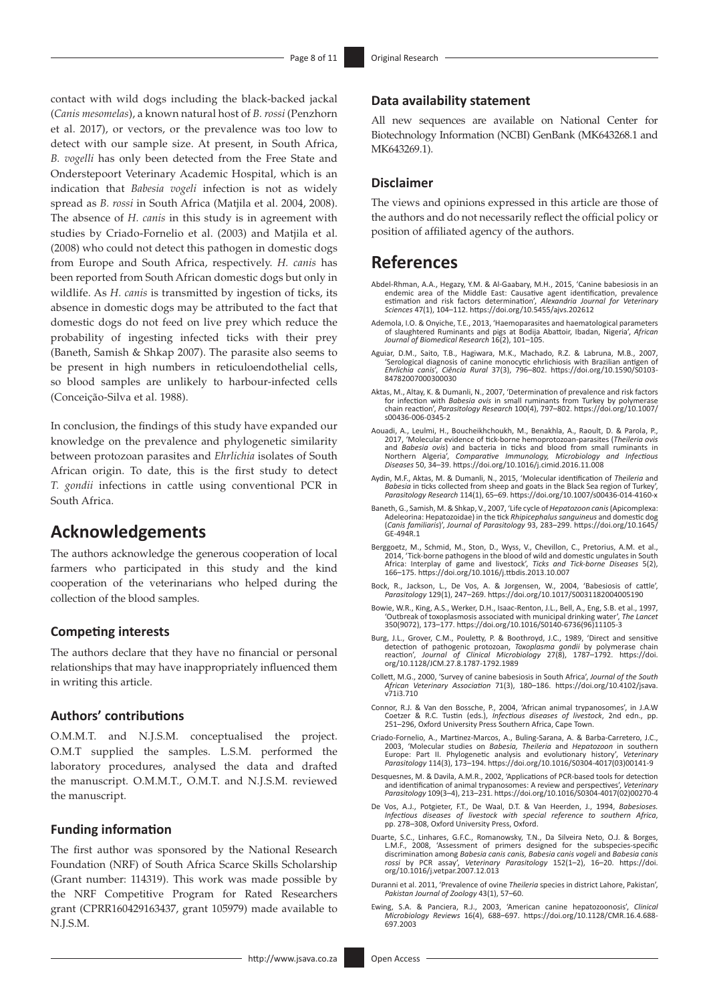contact with wild dogs including the black-backed jackal (*Canis mesomelas*), a known natural host of *B. rossi* (Penzhorn et al. 2017), or vectors, or the prevalence was too low to detect with our sample size. At present, in South Africa, *B. vogelli* has only been detected from the Free State and Onderstepoort Veterinary Academic Hospital, which is an indication that *Babesia vogeli* infection is not as widely spread as *B. rossi* in South Africa (Matjila et al. 2004, 2008). The absence of *H. canis* in this study is in agreement with studies by Criado-Fornelio et al. (2003) and Matjila et al. (2008) who could not detect this pathogen in domestic dogs from Europe and South Africa, respectively. *H. canis* has been reported from South African domestic dogs but only in wildlife. As *H. canis* is transmitted by ingestion of ticks, its absence in domestic dogs may be attributed to the fact that domestic dogs do not feed on live prey which reduce the probability of ingesting infected ticks with their prey (Baneth, Samish & Shkap 2007). The parasite also seems to be present in high numbers in reticuloendothelial cells, so blood samples are unlikely to harbour-infected cells (Conceição-Silva et al. 1988).

In conclusion, the findings of this study have expanded our knowledge on the prevalence and phylogenetic similarity between protozoan parasites and *Ehrlichia* isolates of South African origin. To date, this is the first study to detect *T. gondii* infections in cattle using conventional PCR in South Africa.

## **Acknowledgements**

The authors acknowledge the generous cooperation of local farmers who participated in this study and the kind cooperation of the veterinarians who helped during the collection of the blood samples.

### **Competing interests**

The authors declare that they have no financial or personal relationships that may have inappropriately influenced them in writing this article.

### **Authors' contributions**

O.M.M.T. and N.J.S.M. conceptualised the project. O.M.T supplied the samples. L.S.M. performed the laboratory procedures, analysed the data and drafted the manuscript. O.M.M.T., O.M.T. and N.J.S.M. reviewed the manuscript.

### **Funding information**

The first author was sponsored by the National Research Foundation (NRF) of South Africa Scarce Skills Scholarship (Grant number: 114319). This work was made possible by the NRF Competitive Program for Rated Researchers grant (CPRR160429163437, grant 105979) made available to N.J.S.M.

### **Data availability statement**

All new sequences are available on National Center for Biotechnology Information (NCBI) GenBank (MK643268.1 and MK643269.1).

#### **Disclaimer**

The views and opinions expressed in this article are those of the authors and do not necessarily reflect the official policy or position of affiliated agency of the authors.

### **References**

- Abdel-Rhman, A.A., Hegazy, Y.M. & Al-Gaabary, M.H., 2015, 'Canine babesiosis in an endemic area of the Middle East: Causative agent identification, prevalence estimation and risk factors determination', Alexandria Journal
- Ademola, I.O. & Onyiche, T.E., 2013, 'Haemoparasites and haematological parameters of slaughtered Ruminants and pigs at Bodija Abattoir, Ibadan, Nigeria', *African Journal of Biomedical Research* 16(2), 101–105.
- Aguiar, D.M., Saito, T.B., Hagiwara, M.K., Machado, R.Z. & Labruna, M.B., 2007, 'Serological diagnosis of canine monocytic ehrlichiosis with Brazilian antigen of *Ehrlichia canis*', *Ciência Rural* 37(3), 796–802. [https://doi.org/10.1590/S0103-](https://doi.org/10.1590/S0103-84782007000300030) [84782007000300030](https://doi.org/10.1590/S0103-84782007000300030)
- Aktas, M., Altay, K. & Dumanli, N., 2007, 'Determination of prevalence and risk factors for infection with *Babesia ovis* in small ruminants from Turkey by polymerase chain reaction', *Parasitology Research* 100(4), 797–802. [https://doi.org/10.1007/](https://doi.org/10.1007/s00436-006-0345-2) [s00436-006-0345-2](https://doi.org/10.1007/s00436-006-0345-2)
- Aouadi, A., Leulmi, H., Boucheikhchoukh, M., Benakhla, A., Raoult, D. & Parola, P., 2017, 'Molecular evidence of tick-borne hemoprotozoan-parasites (*Theileria ovis* and *Babesia ovis*) and bacteria in ticks and blood from small ruminants in Northern Algeria', *Comparative Immunology, Microbiology and Infectious Diseases* 50, 34–39. <https://doi.org/10.1016/j.cimid.2016.11.008>
- Aydin, M.F., Aktas, M. & Dumanli, N., 2015, 'Molecular identification of *Theileria* and *Babesia* in ticks collected from sheep and goats in the Black Sea region of Turkey', *Parasitology Research* 114(1), 65–69. <https://doi.org/10.1007/s00436-014-4160-x>
- Baneth, G., Samish, M. & Shkap, V., 2007, 'Life cycle of *Hepatozoon canis* (Apicomplexa: Adeleorina: Hepatozoidae) in the tick *Rhipicephalus sanguineus* and domestic dog (*Canis familiaris*)', *Journal of Parasitology* 93, 283–299. [https://doi.org/10.1645/](https://doi.org/10.1645/GE-494R.1) [GE-494R.1](https://doi.org/10.1645/GE-494R.1)
- Berggoetz, M., Schmid, M., Ston, D., Wyss, V., Chevillon, C., Pretorius, A.M. et al., 2014, 'Tick-borne pathogens in the blood of wild and domestic ungulates in South Africa: Interplay of game and livestock', *Ticks and Tick-borne Diseases* 5(2), 166–175.<https://doi.org/10.1016/j.ttbdis.2013.10.007>
- Bock, R., Jackson, L., De Vos, A. & Jorgensen, W., 2004, 'Babesiosis of cattle', *Parasitology* 129(1), 247–269. <https://doi.org/10.1017/S0031182004005190>
- Bowie, W.R., King, A.S., Werker, D.H., Isaac-Renton, J.L., Bell, A., Eng, S.B. et al., 1997, 'Outbreak of toxoplasmosis associated with municipal drinking water', *The Lancet* 350(9072), 173–177. [https://doi.org/10.1016/S0140-6736\(96\)11105-3](https://doi.org/10.1016/S0140-6736(96)11105-3)
- Burg, J.L., Grover, C.M., Pouletty, P. & Boothroyd, J.C., 1989, 'Direct and sensitive detection of pathogenic protozoan, *Toxoplasma gondii* by polymerase chain reaction', *Journal of Clinical Microbiology* 27(8), 1787–1792. [https://doi.](https://doi.org/10.1128/JCM.27.8.1787-1792.1989) [org/10.1128/JCM.27.8.1787-1792.1989](https://doi.org/10.1128/JCM.27.8.1787-1792.1989)
- Collett, M.G., 2000, 'Survey of canine babesiosis in South Africa', *Journal of the South African Veterinary Association* 71(3), 180–186. [https://doi.org/10.4102/jsava.](https://doi.org/10.4102/jsava.v71i3.710) [v71i3.710](https://doi.org/10.4102/jsava.v71i3.710)
- Connor, R.J. & Van den Bossche, P., 2004, 'African animal trypanosomes', in J.A.W Coetzer & R.C. Tustin (eds.), *Infectious diseases of livestock*, 2nd edn., pp. 251–296, Oxford University Press Southern Africa, Cape Town.
- Criado-Fornelio, A., Martinez-Marcos, A., Buling-Sarana, A. & Barba-Carretero, J.C., 2003, 'Molecular studies on *Babesia, Theileria* and *Hepatozoon* in southern<br>Europe: Part II. Phylogenetic analysis and evolutionary history', *Veterinary*<br>Parasitology 114(3), 173–194. https://doi.org/10.1016/S0304-4017(
- Desquesnes, M. & Davila, A.M.R., 2002, 'Applications of PCR-based tools for detection and identification of animal trypanosomes: A review and perspectives', *Veterinary Parasitology* 109(3–4), 213–231. [https://doi.org/10.1016/S0304-4017\(02\)00270-4](https://doi.org/10.1016/S0304-4017(02)00270-4)
- De Vos, A.J., Potgieter, F.T., De Waal, D.T. & Van Heerden, J., 1994, *Babesioses. Infectious diseases of livestock with special reference to southern Africa*, pp. 278–308, Oxford University Press, Oxford.
- Duarte, S.C., Linhares, G.F.C., Romanowsky, T.N., Da Silveira Neto, O.J. & Borges, L.M.F., 2008, 'Assessment of primers designed for the subspecies-specific discrimination among *Babesia canis canis, Babesia canis vogeli* and *Babesia canis rossi* by PCR assay', *Veterinary Parasitology* 152(1–2), 16–20. [https://doi.](https://doi.org/10.1016/j.vetpar.2007.12.013) [org/10.1016/j.vetpar.2007.12.013](https://doi.org/10.1016/j.vetpar.2007.12.013)
- Duranni et al. 2011, 'Prevalence of ovine *Theileria* species in district Lahore, Pakistan', *Pakistan Journal of Zoology* 43(1), 57–60.
- Ewing, S.A. & Panciera, R.J., 2003, 'American canine hepatozoonosis', *Clinical Microbiology Reviews* 16(4), 688–697. [https://doi.org/10.1128/CMR.16.4.688-](https://doi.org/10.1128/CMR.16.4.688-697.2003) [697.2003](https://doi.org/10.1128/CMR.16.4.688-697.2003)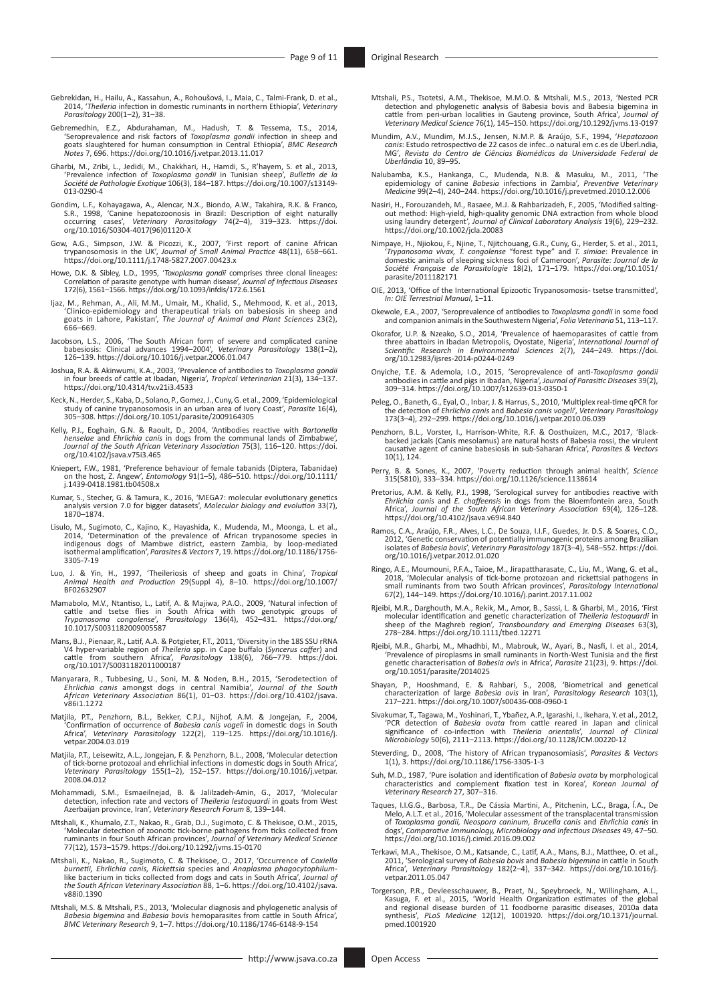- Gebrekidan, H., Hailu, A., Kassahun, A., Rohoušová, I., Maia, C., Talmi-Frank, D. et al., 2014, '*Theileria* infection in domestic ruminants in northern Ethiopia', *Veterinary Parasitology* 200(1–2), 31–38.
- Gebremedhin, E.Z., Abdurahaman, M., Hadush, T. & Tessema, T.S., 2014,<br>"Seroprevalence and risk factors of Toxoplasma gondii infection in sheep and<br>goats slaughtered for human consumption in Central Ethiopia', BMC Research *Notes* 7, 696. <https://doi.org/10.1016/j.vetpar.2013.11.017>
- Gharbi, M., Zribi, L., Jedidi, M., Chakkhari, H., Hamdi, S., R'hayem, S. et al., 2013,<br>Prevalence infection of *Toxoplosma gondii* in Tunisian sheep', *Bulletin de la*'<br>Société de Pathologie Exotique 106(3), 184–187. https [013-0290-4](https://doi.org/10.1007/s13149-013-0290-4)
- Gondim, L.F., Kohayagawa, A., Alencar, N.X., Biondo, A.W., Takahira, R.K. & Franco,<br>S.R., 1998, 'Canine hepatozoonosis in Brazil: Description of eight naturally<br>occurring cases', Veterinary Parasitology 74(2-4), 319-323. h [org/10.1016/S0304-4017\(96\)01120-X](https://doi.org/10.1016/S0304-4017(96)01120-X)
- Gow, A.G., Simpson, J.W. & Picozzi, K., 2007, 'First report of canine African trypanosomosis in the UK', *Journal of Small Animal Practice* 48(11), 658–661. <https://doi.org/10.1111/j.1748-5827.2007.00423.x>
- Howe, D.K. & Sibley, L.D., 1995, '*Toxoplasma gondii* comprises three clonal lineages: Correlation of parasite genotype with human disease', *Journal of Infectious Diseases* 172(6), 1561–1566.<https://doi.org/10.1093/infdis/172.6.1561>
- Ijaz, M., Rehman, A., Ali, M.M., Umair, M., Khalid, S., Mehmood, K. et al., 2013,<br>
'Clinico-epidemiology and therapeutical trials on babesiosis in sheep and<br>
goats in Lahore, Pakistan', The Journal of Animal and Plant Scie
- Jacobson, L.S., 2006, 'The South African form of severe and complicated canine<br>babesiosis: Clinical advances 1994–2004', *Veterinary Parasitology* 138(1–2),<br>126–139. <https://doi.org/10.1016/j.vetpar.2006.01.047>
- Joshua, R.A. & Akinwumi, K.A., 2003, 'Prevalence of antibodies to *Toxoplasma gondii* in four breeds of cattle at Ibadan, Nigeria', *Tropical Veterinarian* 21(3), 134–137. <https://doi.org/10.4314/tv.v21i3.4533>
- Keck, N., Herder, S., Kaba, D., Solano, P., Gomez, J., Cuny, G. et al., 2009, 'Epidemiological study of canine trypanosomosis in an urban area of Ivory Coast', *Parasite* 16(4), 305–308. <https://doi.org/10.1051/parasite/2009164305>
- Kelly, P.J., Eoghain, G.N. & Raoult, D., 2004, 'Antibodies reactive with *Bartonella henselae* and *Ehrlichia canis* in dogs from the communal lands of Zimbabwe', *Journal of the South African Veterinary Association* 75(3), 116–120. [https://doi.](https://doi.org/10.4102/jsava.v75i3.465) [org/10.4102/jsava.v75i3.465](https://doi.org/10.4102/jsava.v75i3.465)
- Kniepert, F.W., 1981, 'Preference behaviour of female tabanids (Diptera, Tabanidae) on the host, Z. Angew', *Entomology* 91(1–5), 486–510. [https://doi.org/10.1111/](https://doi.org/10.1111/j.1439-0418.1981.tb04508.x) [j.1439-0418.1981.tb04508.x](https://doi.org/10.1111/j.1439-0418.1981.tb04508.x)
- Kumar, S., Stecher, G. & Tamura, K., 2016, 'MEGA7: molecular evolutionary genetics analysis version 7.0 for bigger datasets', *Molecular biology and evolution* 33(7), 1870–1874.
- Lisulo, M., Sugimoto, C., Kajino, K., Hayashida, K., Mudenda, M., Moonga, L. et al., 2014, 'Determination of the prevalence of African trypanosome species in indigenous dogs of Mambwe district, eastern Zambia, by loop-medi [3305-7-19](https://doi.org/10.1186/1756-3305-7-19)
- Luo, J. & Yin, H., 1997, 'Theileriosis of sheep and goats in China', *Tropical Animal Health and Production* 29(Suppl 4), 8–10. [https://doi.org/10.1007/](https://doi.org/10.1007/BF02632907) [BF02632907](https://doi.org/10.1007/BF02632907)
- Mamabolo, M.V., Ntantiso, L., Latif, A. & Majiwa, P.A.O., 2009, 'Natural infection of<br>cattle and tsetse flies in South Africa with two genotypic groups of<br>Trypanosoma congolense', Parasitology 136(4), 452-431. https://doi. [10.1017/S0031182009005587](https://doi.org/10.1017/S0031182009005587)
- Mans, B.J., Pienaar, R., Latif, A.A. & Potgieter, F.T., 2011, 'Diversity in the 18S SSU rRNA<br>Va hyper-variable region of Theileria spp. in Cape buffalo (Syncerus caffer) and<br>cattle from southern Africa', Parasitology 138(6 [org/10.1017/S0031182011000187](https://doi.org/10.1017/S0031182011000187)
- Manyarara, R., Tubbesing, U., Soni, M. & Noden, B.H., 2015, 'Serodetection of<br>Ehrlichia canis amongst dogs in central Namibia', Journal of the South<br>African Veterinary Association 86(1), 01–03. https://doi.org/10.4102/jsav [v86i1.1272](https://doi.org/10.4102/jsava.v86i1.1272)
- Matjila, P.T., Penzhorn, B.L., Bekker, C.P.J., Nijhof, A.M. & Jongejan, F., 2004,<br>Confirmation of occurrence of *Babesia canis vogeli* in domestic dogs in South<br>Africa', *Veterinary Parasitology 122(2)*, 119–125. https://d [vetpar.2004.03.019](https://doi.org/10.1016/j.vetpar.2004.03.019)
- Matjila, P.T., Leisewitz, A.L., Jongejan, F. & Penzhorn, B.L., 2008, 'Molecular detection of tick-borne protozoal and ehrlichial infections in domestic dogs in South Africa',<br>Veterinary *Parasitology 1*55(1–2), 152–157. [https://doi.org/10.1016/j.vetpar.](https://doi.org/10.1016/j.vetpar.2008.04.012)<br>[2008.04.012](https://doi.org/10.1016/j.vetpar.2008.04.012)
- Mohammadi, S.M., Esmaeilnejad, B. & Jalilzadeh-Amin, G., 2017, 'Molecular<br>detection, infection rate and vectors of Theileria lestoguardi in goats from West<br>Azerbaijan province, Iran', Veterinary Research Forum 8, 139–144.
- Mtshali, K., Khumalo, Z.T., Nakao, R., Grab, D.J., Sugimoto, C. & Thekisoe, O.M., 2015, 'Molecular detection of zoonotic tick-borne pathogens from ticks collected from ruminants in four South African provinces', *Journal of Veterinary Medical Science* 77(12), 1573–1579. <https://doi.org/10.1292/jvms.15-0170>
- Mtshali, K., Nakao, R., Sugimoto, C. & Thekisoe, O., 2017, 'Occurrence of Coxiella<br>burnetii, Ehrlichia canis, Rickettsia species and Anaplasma phagocytophilum-<br>like bacterium in ticks collected from dogs and cats in South *the South African Veterinary Association* 88, 1–6. [https://doi.org/10.4102/jsava.](https://doi.org/10.4102/jsava.v88i0.1390) [v88i0.1390](https://doi.org/10.4102/jsava.v88i0.1390)
- Mtshali, M.S. & Mtshali, P.S., 2013, 'Molecular diagnosis and phylogenetic analysis of *Babesia bigemina* and *Babesia bovis* hemoparasites from cattle in South Africa', *BMC Veterinary Research* 9, 1–7. <https://doi.org/10.1186/1746-6148-9-154>
- Mtshali, P.S., Tsotetsi, A.M., Thekisoe, M.M.O. & Mtshali, M.S., 2013, 'Nested PCR detection and phylogenetic analysis of Babesia bovis and Babesia bigemina in<br>cattle from peri-urban localities in Gauteng province, South Africa', J*ournal of*<br>Veterinary Medical Science 76(1), 145–150. https://doi.org/10.
- Mundim, A.V., Mundim, M.J.S., Jensen, N.M.P. & Araújo, S.F., 1994, '*Hepatozoon canis*: Estudo retrospectivo de 22 casos de infec..o natural em c.es de Uberl.ndia, MG', *Revista do Centro de Ciências Biomédicas da Universidade Federal de Uberlândia* 10, 89–95.
- Nalubamba, K.S., Hankanga, C., Mudenda, N.B. & Masuku, M., 2011, 'The epidemiology of canine *Babesia* infections in Zambia', *Preventive Veterinary Medicine* 99(2–4), 240–244.<https://doi.org/10.1016/j.prevetmed.2010.12.006>
- Nasiri, H., Forouzandeh, M., Rasaee, M.J. & Rahbarizadeh, F., 2005, 'Modified salting-<br>out method: High-yield, high-quality genomic DNA extraction from whole blood<br>using laundry detergent', Journal of Clinical Laboratory A <https://doi.org/10.1002/jcla.20083>
- Nimpaye, H., Njiokou, F., Njine, T., Njitchouang, G.R., Cuny, G., Herder, S. et al., 2011,<br>Trypanosoma vivax, T. congolense "forest type" and T. simiae: Prevalence in<br>domestic animals of sleeping sickness foci of Cameroon' *Société Française de Parasitologie* 18(2), 171–179. [https://doi.org/10.1051/](https://doi.org/10.1051/parasite/2011182171) [parasite/2011182171](https://doi.org/10.1051/parasite/2011182171)
- OIE, 2013, 'Office of the International Epizootic Trypanosomosis- tsetse transmitted', *In: OIE Terrestrial Manual*, 1–11.
- Okewole, E.A., 2007, 'Seroprevalence of antibodies to *Toxoplasma gondii* in some food and companion animals in the Southwestern Nigeria', *Folia Veterinaria* 51, 113–117.
- Okorafor, U.P. & Nzeako, S.O., 2014, 'Prevalence of haemoparasites of cattle from<br>three abattoirs in Ibadan Metropolis, Oyostate, Nigeria', International Journal of<br>Scientific Research in Environmental Sciences 2(7), 244–2 [org/10.12983/ijsres-2014-p0244-0249](https://doi.org/10.12983/ijsres-2014-p0244-0249)
- Onyiche, T.E. & Ademola, I.O., 2015, 'Seroprevalence of anti-Toxoplasma gondii antibodies in cattle and pigs in Ibadan, Nigeria', Journal of Parasitic Diseases 39(2), 309-314.<https://doi.org/10.1007/s12639-013-0350-1>
- Peleg, O., Baneth, G., Eyal, O., Inbar, J. & Harrus, S., 2010. 'Multiplex real-time gPCR for the detection of *Ehrlichia canis* and *Babesia canis vogeli*', *Veterinary Parasitology* 173(3–4), 292–299.<https://doi.org/10.1016/j.vetpar.2010.06.039>
- Penzhorn, B.L., Vorster, I., Harrison-White, R.F. & Oosthuizen, M.C., 2017, 'Black-backed jackals (Canis mesolamus) are natural hosts of Babesia rossi, the virulent causative agent of canine babesiosis in sub-Saharan Africa', *Parasites & Vectors* 10(1), 124.
- Perry, B. & Sones, K., 2007, 'Poverty reduction through animal health', *Science* 315(5810), 333–334. <https://doi.org/10.1126/science.1138614>
- Pretorius, A.M. & Kelly, P.J., 1998, 'Serological survey for antibodies reactive with *Ehrlichia canis* and *E. chaffeensis* in dogs from the Bloemfontein area, South Africa', *Journal of the South African Veterinary Association* 69(4), 126–128. <https://doi.org/10.4102/jsava.v69i4.840>
- Ramos, C.A., Araújo, F.R., Alves, L.C., De Souza, I.I.F., Guedes, Jr. D.S. & Soares, C.O., 2012, 'Genetic conservation of potentially immunogenic proteins among Brazilian isolates of *Babesia bovis*', *Veterinary Parasitology* 187(3–4), 548–552. [https://doi.](https://doi.org/10.1016/j.vetpar.2012.01.020) [org/10.1016/j.vetpar.2012.01.020](https://doi.org/10.1016/j.vetpar.2012.01.020)
- , Ringo, A.E., Moumouni, P.F.A., Taioe, M., Jirapattharasate, C., Liu, M., Wang, G. et al.,<br>2018, 'Molecular analysis of tick-borne protozoan and rickettsial pathogens in<br>50 small ruminants from two South African provinces 67(2), 144–149.<https://doi.org/10.1016/j.parint.2017.11.002>
- Rjeibi, M.R., Darghouth, M.A., Rekik, M., Amor, B., Sassi, L. & Gharbi, M., 2016, 'First<br>molecular identification and genetic characterization of Theileria lestoquardi in<br>sheep of the Maghreb region', Transboundary and Eme 278–284.<https://doi.org/10.1111/tbed.12271>
- Rjeibi, M.R., Gharbi, M., Mhadhbi, M., Mabrouk, W., Ayari, B., Nasfi, I. et al., 2014,<br>Prevalence of piroplasms in small ruminants in Morth-West Tunisia and the first<br>genetic characterisation of *Babesia ovis* in Africa', [org/10.1051/parasite/2014025](https://doi.org/10.1051/parasite/2014025)
- Shayan, P., Hooshmand, E. & Rahbari, S., 2008, 'Biometrical and genetical characterization of large *Babesia ovis* in Iran', *Parasitology Research* 103(1), 217–221.<https://doi.org/10.1007/s00436-008-0960-1>
- Sivakumar, T., Tagawa, M., Yoshinari, T., Ybañez, A.P., Igarashi, I., Ikehara, Y. et al., 2012,<br>PCR detection of *Babesia ovata f*rom cattle reared in Japan and clinical<br>significance of co-infection with *Theileria orienta Microbiology* 50(6), 2111–2113.<https://doi.org/10.1128/JCM.00220-12>
- Steverding, D., 2008, 'The history of African trypanosomiasis', *Parasites & Vectors* 1(1), 3. <https://doi.org/10.1186/1756-3305-1-3>
- Suh, M.D., 1987, 'Pure isolation and identification of *Babesia ovata* by morphological characteristics and complement fixation test in Korea', *Korean Journal of Veterinary Research* 27, 307–316.
- Taques, I.I.G.G., Barbosa, T.R., De Cássia Martini, A., Pitchenin, L.C., Braga, Í.A., De<br>Melo, A.L.T. et al., 2016, 'Molecular assessment of the transplacental transmission<br>of Toxoplasma gondii, Neospora caninum, Brucella dogs', *Comparative Immunology, Microbiology and Infectious Diseases* 49, 47–50. <https://doi.org/10.1016/j.cimid.2016.09.002>
- Terkawi, M.A., Thekisoe, O.M., Katsande, C., Latif, A.A., Mans, B.J., Matthee, O. et al., 2011, 'Serological survey of *Babesia bovis* and *Babesia bigemina* in cattle in South Africa', *Veterinary Parasitology* 182(2–4), 337–342. [https://doi.org/10.1016/j.](https://doi.org/10.1016/j.vetpar.2011.05.047) [vetpar.2011.05.047](https://doi.org/10.1016/j.vetpar.2011.05.047)
- Torgerson, P.R., Devleesschauwer, B., Praet, N., Speybroeck, N., Willingham, A.L., Kasuga, F. et al., 2015, 'World Health Organization estimates of the global and regional disease burden of 11 foodborne parasitic diseases, [pmed.1001920](https://doi.org/10.1371/journal.pmed.1001920)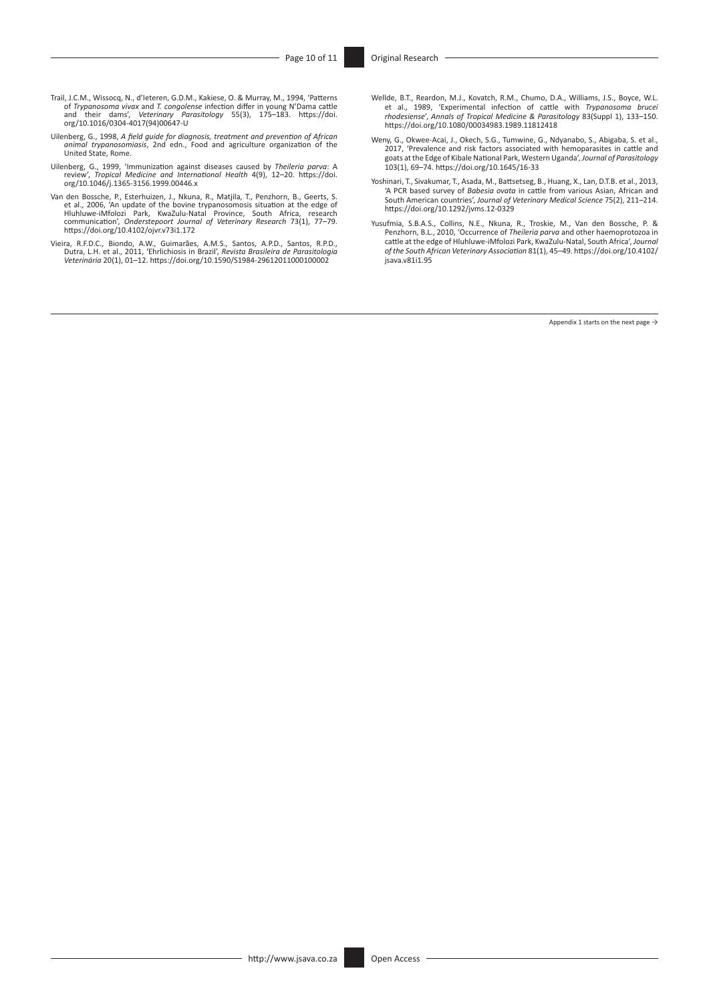- Trail, J.C.M., Wissocq, N., d'Ieteren, G.D.M., Kakiese, O. & Murray, M., 1994, 'Patterns<br>of Trypanosoma vivax and T. congolense infection differ in young N'Dama cattle<br>and their dams', Veterinary Parasitology 55(3), 175–18
- Uilenberg, G., 1998, *A field guide for diagnosis, treatment and prevention of African animal trypanosomiasis*, 2nd edn., Food and agriculture organization of the United State, Rome.
- Uilenberg, G., 1999, 'Immunization against diseases caused by *Theileria parva*: A review', *Tropical Medicine and International Health* 4(9), 12–20. [https://doi.](https://doi.org/10.1046/j.1365-3156.1999.00446.x) [org/10.1046/j.1365-3156.1999.00446.x](https://doi.org/10.1046/j.1365-3156.1999.00446.x)
- Van den Bossche, P., Esterhuizen, J., Nkuna, R., Matjila, T., Penzhorn, B., Geerts, S. et al., 2006, 'An update of the bovine trypanosomosis situation at the edge of<br>Hluhluwe-iMfolozi Park, KwaZulu-Natal Province, South Africa, research<br>communication', *Onderstepoort Journal of Veterinary Resear* <https://doi.org/10.4102/ojvr.v73i1.172>
- Vieira, R.F.D.C., Biondo, A.W., Guimarães, A.M.S., Santos, A.P.D., Santos, R.P.D.,<br>Dutra, L.H. et al., 2011, 'Ehrlichiosis in Brazil', Revista Brasileira de Parasitologia<br>Veterinária 20(1), 01–12. https://doi.org/10.1590/S
- Wellde, B.T., Reardon, M.J., Kovatch, R.M., Chumo, D.A., Williams, J.S., Boyce, W.L. et al., 1989, 'Experimental infection of cattle with *Trypanosoma brucei rhodesiense*', *Annals of Tropical Medicine & Parasitology* 83(Suppl 1), 133–150. <https://doi.org/10.1080/00034983.1989.11812418>
- Weny, G., Okwee-Acai, J., Okech, S.G., Tumwine, G., Ndyanabo, S., Abigaba, S. et al., 2017, 'Prevalence and risk factors associated with hemoparasites in cattle and goats at the Edge of Kibale National Park, Western Uganda', *Journal of Parasitology* 103(1), 69–74. <https://doi.org/10.1645/16-33>
- Yoshinari, T., Sivakumar, T., Asada, M., Battsetseg, B., Huang, X., Lan, D.T.B. et al., 2013, 'A PCR based survey of *Babesia ovata* in cattle from various Asian, African and South American countries', *Journal of Veterinary Medical Science* 75(2), 211–214. <https://doi.org/10.1292/jvms.12-0329>
- Yusufmia, S.B.A.S., Collins, N.E., Nkuna, R., Troskie, M., Van den Bossche, P. & Penzhorn, B.L., 2010, 'Occurrence of *Theileria parva* and other haemoprotozoa in cattle at the edge of Hluhluwe-iMfolozi Park, KwaZulu-Natal, South Africa', *Journal of the South African Veterinary Association* 81(1), 45–49. [https://doi.org/10.4102/](https://doi.org/10.4102/jsava.v81i1.95) [jsava.v81i1.95](https://doi.org/10.4102/jsava.v81i1.95)

Appendix 1 starts on the next page  $\rightarrow$